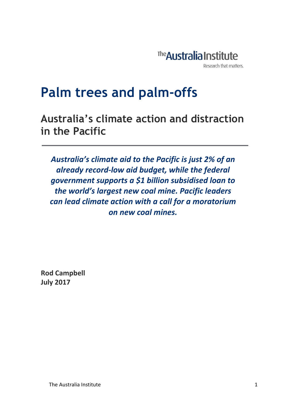

## **Palm trees and palm-offs**

**Australia's climate action and distraction in the Pacific**

*Australia's climate aid to the Pacific is just 2% of an already record-low aid budget, while the federal government supports a \$1 billion subsidised loan to the world's largest new coal mine. Pacific leaders can lead climate action with a call for a moratorium on new coal mines.* 

**Rod Campbell July 2017**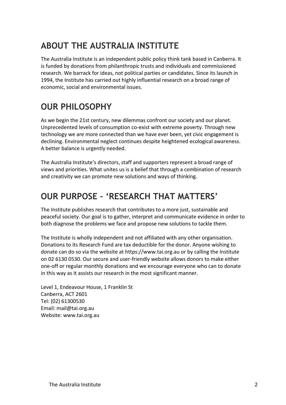## **ABOUT THE AUSTRALIA INSTITUTE**

The Australia Institute is an independent public policy think tank based in Canberra. It is funded by donations from philanthropic trusts and individuals and commissioned research. We barrack for ideas, not political parties or candidates. Since its launch in 1994, the Institute has carried out highly influential research on a broad range of economic, social and environmental issues.

### **OUR PHILOSOPHY**

As we begin the 21st century, new dilemmas confront our society and our planet. Unprecedented levels of consumption co-exist with extreme poverty. Through new technology we are more connected than we have ever been, yet civic engagement is declining. Environmental neglect continues despite heightened ecological awareness. A better balance is urgently needed.

The Australia Institute's directors, staff and supporters represent a broad range of views and priorities. What unites us is a belief that through a combination of research and creativity we can promote new solutions and ways of thinking.

### **OUR PURPOSE – 'RESEARCH THAT MATTERS'**

The Institute publishes research that contributes to a more just, sustainable and peaceful society. Our goal is to gather, interpret and communicate evidence in order to both diagnose the problems we face and propose new solutions to tackle them.

The Institute is wholly independent and not affiliated with any other organisation. Donations to its Research Fund are tax deductible for the donor. Anyone wishing to donate can do so via the website at https://www.tai.org.au or by calling the Institute on 02 6130 0530. Our secure and user-friendly website allows donors to make either one-off or regular monthly donations and we encourage everyone who can to donate in this way as it assists our research in the most significant manner.

Level 1, Endeavour House, 1 Franklin St Canberra, ACT 2601 Tel: (02) 61300530 Email: mail@tai.org.au Website: www.tai.org.au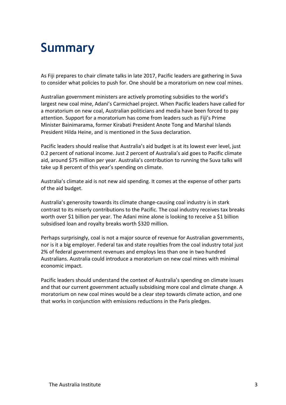# **Summary**

As Fiji prepares to chair climate talks in late 2017, Pacific leaders are gathering in Suva to consider what policies to push for. One should be a moratorium on new coal mines.

Australian government ministers are actively promoting subsidies to the world's largest new coal mine, Adani's Carmichael project. When Pacific leaders have called for a moratorium on new coal, Australian politicians and media have been forced to pay attention. Support for a moratorium has come from leaders such as Fiji's Prime Minister Bainimarama, former Kirabati President Anote Tong and Marshal Islands President Hilda Heine, and is mentioned in the Suva declaration.

Pacific leaders should realise that Australia's aid budget is at its lowest ever level, just 0.2 percent of national income. Just 2 percent of Australia's aid goes to Pacific climate aid, around \$75 million per year. Australia's contribution to running the Suva talks will take up 8 percent of this year's spending on climate.

Australia's climate aid is not new aid spending. It comes at the expense of other parts of the aid budget.

Australia's generosity towards its climate change-causing coal industry is in stark contrast to its miserly contributions to the Pacific. The coal industry receives tax breaks worth over \$1 billion per year. The Adani mine alone is looking to receive a \$1 billion subsidised loan and royalty breaks worth \$320 million.

Perhaps surprisingly, coal is not a major source of revenue for Australian governments, nor is it a big employer. Federal tax and state royalties from the coal industry total just 2% of federal government revenues and employs less than one in two hundred Australians. Australia could introduce a moratorium on new coal mines with minimal economic impact.

Pacific leaders should understand the context of Australia's spending on climate issues and that our current government actually subsidising more coal and climate change. A moratorium on new coal mines would be a clear step towards climate action, and one that works in conjunction with emissions reductions in the Paris pledges.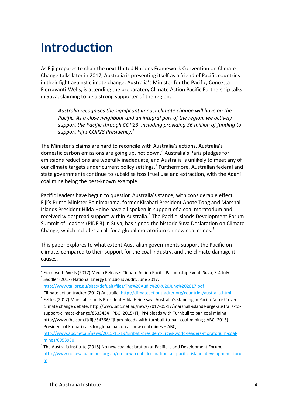# **Introduction**

As Fiji prepares to chair the next United Nations Framework Convention on Climate Change talks later in 2017, Australia is presenting itself as a friend of Pacific countries in their fight against climate change. Australia's Minister for the Pacific, Concetta Fierravanti-Wells, is attending the preparatory Climate Action Pacific Partnership talks in Suva, claiming to be a strong supporter of the region:

*Australia recognises the significant impact climate change will have on the Pacific. As a close neighbour and an integral part of the region, we actively support the Pacific through COP23, including providing \$6 million of funding to support Fiji's COP23 Presidency.<sup>1</sup>*

The Minister's claims are hard to reconcile with Australia's actions. Australia's domestic carbon emissions are going up, not down.<sup>2</sup> Australia's Paris pledges for emissions reductions are woefully inadequate, and Australia is unlikely to meet any of our climate targets under current policy settings.<sup>3</sup> Furthermore, Australian federal and state governments continue to subsidise fossil fuel use and extraction, with the Adani coal mine being the best-known example.

Pacific leaders have begun to question Australia's stance, with considerable effect. Fiji's Prime Minister Bainimarama, former Kirabati President Anote Tong and Marshal Islands President Hilda Heine have all spoken in support of a coal moratorium and received widespread support within Australia.<sup>4</sup> The Pacific Islands Development Forum Summit of Leaders (PIDF 3) in Suva, has signed the historic Suva Declaration on Climate Change, which includes a call for a global moratorium on new coal mines. $5$ 

This paper explores to what extent Australian governments support the Pacific on climate, compared to their support for the coal industry, and the climate damage it causes.

[http://www.abc.net.au/news/2015-11-19/kiribati-president-urges-world-leaders-moratorium-coal](http://www.abc.net.au/news/2015-11-19/kiribati-president-urges-world-leaders-moratorium-coal-mines/6953930)[mines/6953930](http://www.abc.net.au/news/2015-11-19/kiribati-president-urges-world-leaders-moratorium-coal-mines/6953930)

 1 Fierravanti-Wells (2017) Media Release: Climate Action Pacific Partnership Event, Suva, 3-4 July. <sup>2</sup> Saddler (2017) National Energy Emissions Audit: June 2017,

<http://www.tai.org.au/sites/defualt/files/The%20Audit%20-%20June%202017.pdf>

<sup>&</sup>lt;sup>3</sup> Climate action tracker (2017) Australia,<http://climateactiontracker.org/countries/australia.html>

<sup>&</sup>lt;sup>4</sup> Fettes (2017) Marshall Islands President Hilda Heine says Australia's standing in Pacific 'at risk' over climate change debate, http://www.abc.net.au/news/2017-05-17/marshall-islands-urge-australia-tosupport-climate-change/8533434 ; PBC (2015) Fiji PM pleads with Turnbull to ban coal mining, http://www.fbc.com.fj/fiji/34366/fiji-pm-pleads-with-turnbull-to-ban-coal-mining ; ABC (2015) President of Kiribati calls for global ban on all new coal mines – ABC,

<sup>&</sup>lt;sup>5</sup> The Australia Institute (2015) No new coal declaration at Pacific Island Development Forum, [http://www.nonewcoalmines.org.au/no\\_new\\_coal\\_declaration\\_at\\_pacific\\_island\\_development\\_foru](http://www.nonewcoalmines.org.au/no_new_coal_declaration_at_pacific_island_development_forum) [m](http://www.nonewcoalmines.org.au/no_new_coal_declaration_at_pacific_island_development_forum)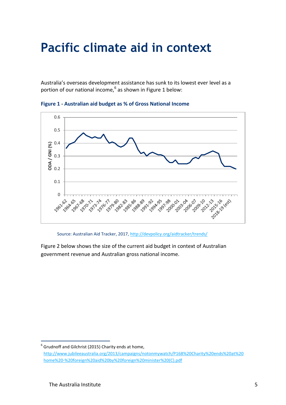## **Pacific climate aid in context**

Australia's overseas development assistance has sunk to its lowest ever level as a portion of our national income,<sup>6</sup> as shown in Figure 1 below:



**Figure 1 - Australian aid budget as % of Gross National Income**

Source: Australian Aid Tracker, 2017,<http://devpolicy.org/aidtracker/trends/>

Figure 2 below shows the size of the current aid budget in context of Australian government revenue and Australian gross national income.

 6 Grudnoff and Gilchrist (2015) Charity ends at home, [http://www.jubileeaustralia.org/2013/campaigns/notonmywatch/P168%20Charity%20ends%20at%20](http://www.jubileeaustralia.org/2013/campaigns/notonmywatch/P168%20Charity%20ends%20at%20home%20-%20foreign%20aid%20by%20foreign%20minister%20(C).pdf) [home%20-%20foreign%20aid%20by%20foreign%20minister%20\(C\).pdf](http://www.jubileeaustralia.org/2013/campaigns/notonmywatch/P168%20Charity%20ends%20at%20home%20-%20foreign%20aid%20by%20foreign%20minister%20(C).pdf)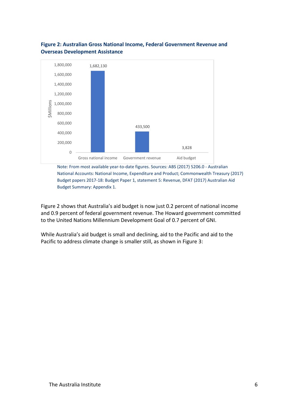

#### **Figure 2: Australian Gross National Income, Federal Government Revenue and Overseas Development Assistance**

Note: From most available year-to-date figures. Sources: ABS (2017) 5206.0 - Australian National Accounts: National Income, Expenditure and Product; Commonwealth Treasury (2017) Budget papers 2017-18: Budget Paper 1, statement 5: Revenue, DFAT (2017) Australian Aid Budget Summary: Appendix 1.

Figure 2 shows that Australia's aid budget is now just 0.2 percent of national income and 0.9 percent of federal government revenue. The Howard government committed to the United Nations Millennium Development Goal of 0.7 percent of GNI.

While Australia's aid budget is small and declining, aid to the Pacific and aid to the Pacific to address climate change is smaller still, as shown in Figure 3: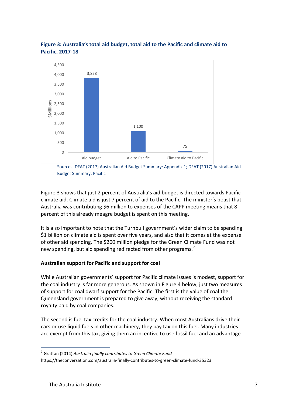

#### **Figure 3: Australia's total aid budget, total aid to the Pacific and climate aid to Pacific, 2017-18**

Sources: DFAT (2017) Australian Aid Budget Summary: Appendix 1; DFAT (2017) Australian Aid Budget Summary: Pacific

Figure 3 shows that just 2 percent of Australia's aid budget is directed towards Pacific climate aid. Climate aid is just 7 percent of aid to the Pacific. The minister's boast that Australia was contributing \$6 million to expenses of the CAPP meeting means that 8 percent of this already meagre budget is spent on this meeting.

It is also important to note that the Turnbull government's wider claim to be spending \$1 billion on climate aid is spent over five years, and also that it comes at the expense of other aid spending. The \$200 million pledge for the Green Climate Fund was not new spending, but aid spending redirected from other programs.<sup>7</sup>

#### **Australian support for Pacific and support for coal**

While Australian governments' support for Pacific climate issues is modest, support for the coal industry is far more generous. As shown in Figure 4 below, just two measures of support for coal dwarf support for the Pacific. The first is the value of coal the Queensland government is prepared to give away, without receiving the standard royalty paid by coal companies.

The second is fuel tax credits for the coal industry. When most Australians drive their cars or use liquid fuels in other machinery, they pay tax on this fuel. Many industries are exempt from this tax, giving them an incentive to use fossil fuel and an advantage

1

<sup>7</sup> Grattan (2014) *Australia finally contributes to Green Climate Fund*

https://theconversation.com/australia-finally-contributes-to-green-climate-fund-35323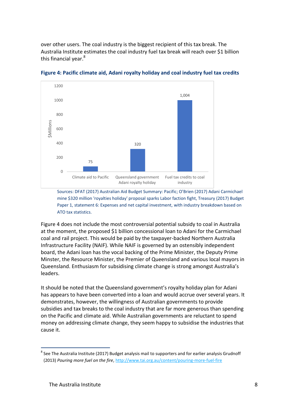over other users. The coal industry is the biggest recipient of this tax break. The Australia Institute estimates the coal industry fuel tax break will reach over \$1 billion this financial year.<sup>8</sup>



**Figure 4: Pacific climate aid, Adani royalty holiday and coal industry fuel tax credits**

Sources: DFAT (2017) Australian Aid Budget Summary: Pacific; O'Brien (2017) Adani Carmichael mine \$320 million 'royalties holiday' proposal sparks Labor faction fight, Treasury (2017) Budget Paper 1, statement 6: Expenses and net capital investment, with industry breakdown based on ATO tax statistics.

Figure 4 does not include the most controversial potential subsidy to coal in Australia at the moment, the proposed \$1 billion concessional loan to Adani for the Carmichael coal and rail project. This would be paid by the taxpayer-backed Northern Australia Infrastructure Facility (NAIF). While NAIF is governed by an ostensibly independent board, the Adani loan has the vocal backing of the Prime Minister, the Deputy Prime Minster, the Resource Minister, the Premier of Queensland and various local mayors in Queensland. Enthusiasm for subsidising climate change is strong amongst Australia's leaders.

It should be noted that the Queensland government's royalty holiday plan for Adani has appears to have been converted into a loan and would accrue over several years. It demonstrates, however, the willingness of Australian governments to provide subsidies and tax breaks to the coal industry that are far more generous than spending on the Pacific and climate aid. While Australian governments are reluctant to spend money on addressing climate change, they seem happy to subsidise the industries that cause it.

1

 $^8$  See The Australia Institute (2017) Budget analysis mail to supporters and for earlier analysis Grudnoff (2013) *Pouring more fuel on the fire*[, http://www.tai.org.au/content/pouring-more-fuel-fire](http://www.tai.org.au/content/pouring-more-fuel-fire)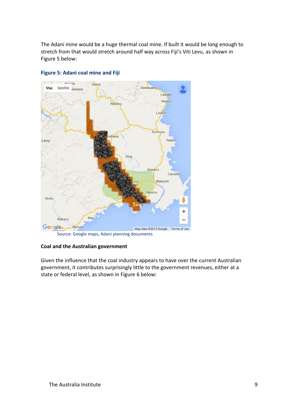The Adani mine would be a huge thermal coal mine. If built it would be long enough to stretch from that would stretch around half way across Fiji's Viti Levu, as shown in Figure 5 below:



#### **Figure 5: Adani coal mine and Fiji**

#### **Coal and the Australian government**

Given the influence that the coal industry appears to have over the current Australian government, it contributes surprisingly little to the government revenues, either at a state or federal level, as shown in Figure 6 below: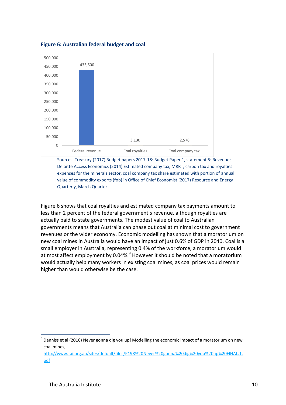

**Figure 6: Australian federal budget and coal**

Sources: Treasury (2017) Budget papers 2017-18: Budget Paper 1, statement 5: Revenue; Deloitte Access Economics (2014) Estimated company tax, MRRT, carbon tax and royalties expenses for the minerals sector, coal company tax share estimated with portion of annual value of commodity exports (fob) in Office of Chief Economist (2017) Resource and Energy Quarterly, March Quarter.

Figure 6 shows that coal royalties and estimated company tax payments amount to less than 2 percent of the federal government's revenue, although royalties are actually paid to state governments. The modest value of coal to Australian governments means that Australia can phase out coal at minimal cost to government revenues or the wider economy. Economic modelling has shown that a moratorium on new coal mines in Australia would have an impact of just 0.6% of GDP in 2040. Coal is a small employer in Australia, representing 0.4% of the workforce, a moratorium would at most affect employment by 0.04%. $9$  However it should be noted that a moratorium would actually help many workers in existing coal mines, as coal prices would remain higher than would otherwise be the case.

<sup>1</sup>  $^9$  Denniss et al (2016) Never gonna dig you up! Modelling the economic impact of a moratorium on new coal mines,

[http://www.tai.org.au/sites/defualt/files/P198%20Never%20gonna%20dig%20you%20up%20FINAL.1.](http://www.tai.org.au/sites/defualt/files/P198%20Never%20gonna%20dig%20you%20up%20FINAL.1.pdf) [pdf](http://www.tai.org.au/sites/defualt/files/P198%20Never%20gonna%20dig%20you%20up%20FINAL.1.pdf)